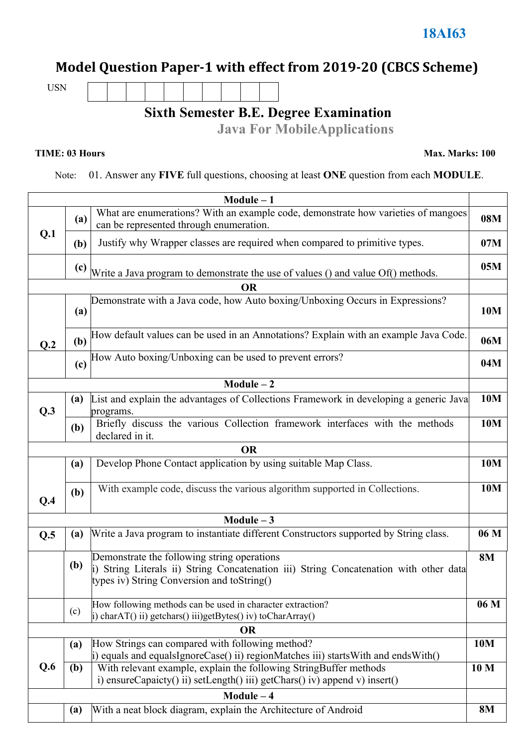## **Model Question Paper-1 with effect from 2019-20 (CBCS Scheme)**

USN

## **Sixth Semester B.E. Degree Examination**

**Java For MobileApplications**

**TIME: 03 Hours Max. Marks: 100**

Note: 01. Answer any **FIVE** full questions, choosing at least **ONE** question from each **MODULE**.

| $Module - 1$ |                                                                                         |                                                                                                                                                                                    |           |  |  |  |
|--------------|-----------------------------------------------------------------------------------------|------------------------------------------------------------------------------------------------------------------------------------------------------------------------------------|-----------|--|--|--|
|              | (a)                                                                                     | What are enumerations? With an example code, demonstrate how varieties of mangoes<br>can be represented through enumeration.                                                       |           |  |  |  |
| Q.1          | (b)                                                                                     | Justify why Wrapper classes are required when compared to primitive types.                                                                                                         |           |  |  |  |
|              | (c)<br>Write a Java program to demonstrate the use of values () and value Of() methods. |                                                                                                                                                                                    |           |  |  |  |
|              |                                                                                         | <b>OR</b>                                                                                                                                                                          |           |  |  |  |
|              | (a)                                                                                     | Demonstrate with a Java code, how Auto boxing/Unboxing Occurs in Expressions?                                                                                                      | 10M       |  |  |  |
| Q.2          | (b)                                                                                     | How default values can be used in an Annotations? Explain with an example Java Code.                                                                                               | 06M       |  |  |  |
| (c)          |                                                                                         | How Auto boxing/Unboxing can be used to prevent errors?                                                                                                                            | 04M       |  |  |  |
|              |                                                                                         | $Module - 2$                                                                                                                                                                       |           |  |  |  |
| Q.3          | (a)                                                                                     | List and explain the advantages of Collections Framework in developing a generic Java<br>programs.                                                                                 | 10M       |  |  |  |
|              | (b)                                                                                     | Briefly discuss the various Collection framework interfaces with the methods<br>declared in it.                                                                                    | 10M       |  |  |  |
|              |                                                                                         | <b>OR</b>                                                                                                                                                                          |           |  |  |  |
|              | (a)                                                                                     | Develop Phone Contact application by using suitable Map Class.                                                                                                                     | 10M       |  |  |  |
| Q.4          | (b)                                                                                     | With example code, discuss the various algorithm supported in Collections.                                                                                                         |           |  |  |  |
|              |                                                                                         | Module $-3$                                                                                                                                                                        |           |  |  |  |
| Q.5          | (a)                                                                                     | Write a Java program to instantiate different Constructors supported by String class.                                                                                              |           |  |  |  |
|              | <b>(b)</b>                                                                              | Demonstrate the following string operations<br>i) String Literals ii) String Concatenation iii) String Concatenation with other data<br>types iv) String Conversion and toString() |           |  |  |  |
|              | (c)                                                                                     | How following methods can be used in character extraction?<br>i) charAT() ii) getchars() iii)getBytes() iv) toCharArray()                                                          |           |  |  |  |
| <b>OR</b>    |                                                                                         |                                                                                                                                                                                    |           |  |  |  |
|              | (a)                                                                                     | How Strings can compared with following method?<br>$ i\rangle$ equals and equalsIgnoreCase() ii) regionMatches iii) startsWith and endsWith()                                      | 10M       |  |  |  |
| Q.6          | (b)                                                                                     | With relevant example, explain the following StringBuffer methods<br>10 <sub>M</sub><br>i) ensureCapaicty() ii) setLength() iii) getChars() iv) append v) insert()                 |           |  |  |  |
| $Module - 4$ |                                                                                         |                                                                                                                                                                                    |           |  |  |  |
|              | (a)                                                                                     | With a neat block diagram, explain the Architecture of Android                                                                                                                     | <b>8M</b> |  |  |  |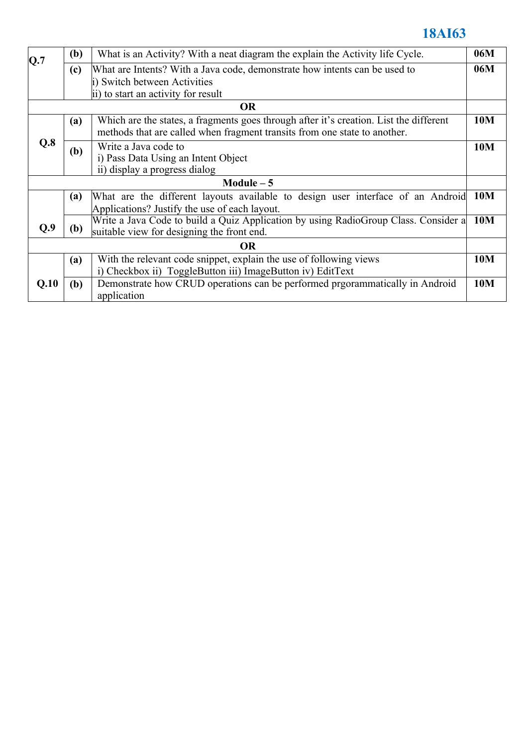## **18AI63**

| Q.7         | (b)                                                                                    | What is an Activity? With a neat diagram the explain the Activity life Cycle.       |     |  |  |  |  |
|-------------|----------------------------------------------------------------------------------------|-------------------------------------------------------------------------------------|-----|--|--|--|--|
|             | (c)                                                                                    | What are Intents? With a Java code, demonstrate how intents can be used to          |     |  |  |  |  |
|             | i) Switch between Activities                                                           |                                                                                     |     |  |  |  |  |
|             | ii) to start an activity for result                                                    |                                                                                     |     |  |  |  |  |
| <b>OR</b>   |                                                                                        |                                                                                     |     |  |  |  |  |
| Q.8         | (a)                                                                                    | 10M                                                                                 |     |  |  |  |  |
|             |                                                                                        | methods that are called when fragment transits from one state to another.           |     |  |  |  |  |
|             | (b)                                                                                    | Write a Java code to                                                                |     |  |  |  |  |
|             |                                                                                        | i) Pass Data Using an Intent Object                                                 |     |  |  |  |  |
|             |                                                                                        | ii) display a progress dialog                                                       |     |  |  |  |  |
| Module $-5$ |                                                                                        |                                                                                     |     |  |  |  |  |
|             | What are the different layouts available to design user interface of an Android<br>(a) |                                                                                     |     |  |  |  |  |
|             |                                                                                        | Applications? Justify the use of each layout.                                       |     |  |  |  |  |
| Q.9         | <b>(b)</b>                                                                             | Write a Java Code to build a Quiz Application by using RadioGroup Class. Consider a | 10M |  |  |  |  |
|             |                                                                                        | suitable view for designing the front end.                                          |     |  |  |  |  |
| <b>OR</b>   |                                                                                        |                                                                                     |     |  |  |  |  |
|             | With the relevant code snippet, explain the use of following views<br>(a)              |                                                                                     |     |  |  |  |  |
|             | i) Checkbox ii) ToggleButton iii) ImageButton iv) EditText                             |                                                                                     |     |  |  |  |  |
| Q.10        | (b)                                                                                    | Demonstrate how CRUD operations can be performed prgorammatically in Android        | 10M |  |  |  |  |
|             |                                                                                        | application                                                                         |     |  |  |  |  |